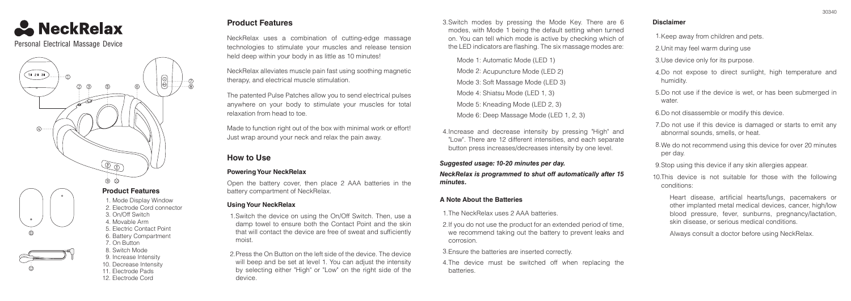

Personal Electrical Massage Device





8. Switch Mode 10. Decrease Intensity

9. Increase Intensity 11. Electrode Pads

1. Mode Display Window 2. Electrode Cord connector 3. On/Off Switch 4. Movable Arm 5. Electric Contact Point 6. Battery Compartment 7. On Button

12. Electrode Cord

# **Product Features**

NeckRelax uses a combination of cutting-edge massage technologies to stimulate your muscles and release tension held deep within your body in as little as 10 minutes!

NeckRelax alleviates muscle pain fast using soothing magnetic therapy, and electrical muscle stimulation.

The patented Pulse Patches allow you to send electrical pulses anywhere on your body to stimulate your muscles for total relaxation from head to toe.

Made to function right out of the box with minimal work or effort! Just wrap around your neck and relax the pain away.

# **How to Use**

### **Powering Your NeckRelax**

Open the battery cover, then place 2 AAA batteries in the battery compartment of NeckRelax.

#### **Using Your NeckRelax**

1. Switch the device on using the On/Off Switch. Then, use a damp towel to ensure both the Contact Point and the skin that will contact the device are free of sweat and sufficiently moist.

2. Press the On Button on the left side of the device. The device will beep and be set at level 1. You can adjust the intensity by selecting either "High" or "Low" on the right side of the device.

Switch modes by pressing the Mode Key. There are 6 3. modes, with Mode 1 being the default setting when turned on. You can tell which mode is active by checking which of the LED indicators are flashing. The six massage modes are:

Mode 1: Automatic Mode (LED 1) Mode 2: Acupuncture Mode (LED 2) Mode 3: Soft Massage Mode (LED 3) Mode 4: Shiatsu Mode (LED 1, 3) Mode 5: Kneading Mode (LED 2, 3) Mode 6: Deep Massage Mode (LED 1, 2, 3)

4. Increase and decrease intensity by pressing "High" and "Low". There are 12 different intensities, and each separate button press increases/decreases intensity by one level.

*Suggested usage: 10-20 minutes per day. NeckRelax is programmed to shut off automatically after 15 minutes.*

#### **A Note About the Batteries**

1. The NeckRelax uses 2 AAA batteries.

- 2. If you do not use the product for an extended period of time, we recommend taking out the battery to prevent leaks and corrosion.
- 3. Ensure the batteries are inserted correctly.
- 4. The device must be switched off when replacing the batteries.

#### **Disclaimer**

1. Keep away from children and pets.

2. Unit may feel warm during use

3. Use device only for its purpose.

4. Do not expose to direct sunlight, high temperature and humidity.

5. Do not use if the device is wet, or has been submerged in water.

6. Do not disassemble or modify this device.

7. Do not use if this device is damaged or starts to emit any abnormal sounds, smells, or heat.

8. We do not recommend using this device for over 20 minutes per day.

9. Stop using this device if any skin allergies appear.

10. This device is not suitable for those with the following conditions:

Heart disease, artificial hearts/lungs, pacemakers or other implanted metal medical devices, cancer, high/low blood pressure, fever, sunburns, pregnancy/lactation, skin disease, or serious medical conditions.

Always consult a doctor before using NeckRelax.